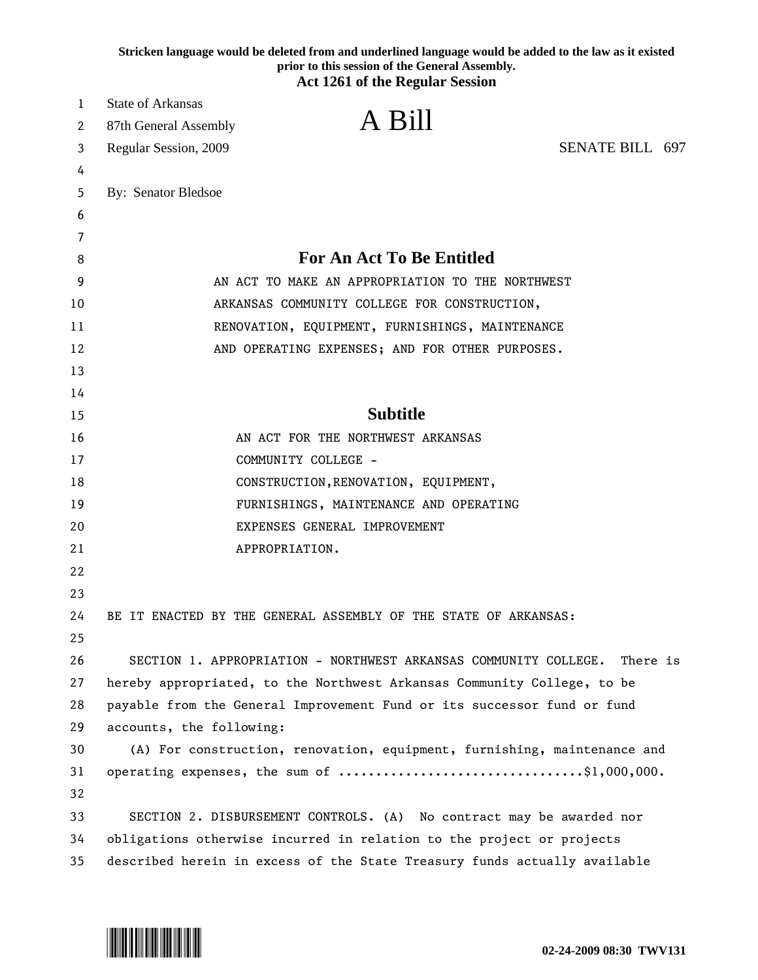| Stricken language would be deleted from and underlined language would be added to the law as it existed<br>prior to this session of the General Assembly.<br><b>Act 1261 of the Regular Session</b> |                                                                                                                                                    |                                                  |  |
|-----------------------------------------------------------------------------------------------------------------------------------------------------------------------------------------------------|----------------------------------------------------------------------------------------------------------------------------------------------------|--------------------------------------------------|--|
| 1                                                                                                                                                                                                   | <b>State of Arkansas</b>                                                                                                                           |                                                  |  |
| 2                                                                                                                                                                                                   | A Bill<br>87th General Assembly                                                                                                                    |                                                  |  |
| 3                                                                                                                                                                                                   | Regular Session, 2009                                                                                                                              | SENATE BILL 697                                  |  |
| 4                                                                                                                                                                                                   |                                                                                                                                                    |                                                  |  |
| 5                                                                                                                                                                                                   | By: Senator Bledsoe                                                                                                                                |                                                  |  |
| 6                                                                                                                                                                                                   |                                                                                                                                                    |                                                  |  |
| 7                                                                                                                                                                                                   |                                                                                                                                                    |                                                  |  |
| 8                                                                                                                                                                                                   | For An Act To Be Entitled                                                                                                                          |                                                  |  |
| 9                                                                                                                                                                                                   |                                                                                                                                                    | AN ACT TO MAKE AN APPROPRIATION TO THE NORTHWEST |  |
| 10                                                                                                                                                                                                  |                                                                                                                                                    | ARKANSAS COMMUNITY COLLEGE FOR CONSTRUCTION,     |  |
| 11                                                                                                                                                                                                  | RENOVATION, EQUIPMENT, FURNISHINGS, MAINTENANCE                                                                                                    |                                                  |  |
| 12                                                                                                                                                                                                  | AND OPERATING EXPENSES; AND FOR OTHER PURPOSES.                                                                                                    |                                                  |  |
| 13                                                                                                                                                                                                  |                                                                                                                                                    |                                                  |  |
| 14                                                                                                                                                                                                  |                                                                                                                                                    |                                                  |  |
| 15                                                                                                                                                                                                  | <b>Subtitle</b>                                                                                                                                    |                                                  |  |
| 16                                                                                                                                                                                                  | AN ACT FOR THE NORTHWEST ARKANSAS                                                                                                                  |                                                  |  |
| 17                                                                                                                                                                                                  | COMMUNITY COLLEGE -                                                                                                                                |                                                  |  |
| 18                                                                                                                                                                                                  | CONSTRUCTION, RENOVATION, EQUIPMENT,                                                                                                               |                                                  |  |
| 19                                                                                                                                                                                                  | FURNISHINGS, MAINTENANCE AND OPERATING                                                                                                             |                                                  |  |
| 20                                                                                                                                                                                                  | EXPENSES GENERAL IMPROVEMENT                                                                                                                       |                                                  |  |
| 21                                                                                                                                                                                                  | APPROPRIATION.                                                                                                                                     |                                                  |  |
| 22                                                                                                                                                                                                  |                                                                                                                                                    |                                                  |  |
| 23                                                                                                                                                                                                  |                                                                                                                                                    |                                                  |  |
| 24                                                                                                                                                                                                  | BE IT ENACTED BY THE GENERAL ASSEMBLY OF THE STATE OF ARKANSAS:                                                                                    |                                                  |  |
| 25                                                                                                                                                                                                  |                                                                                                                                                    |                                                  |  |
| 26<br>27                                                                                                                                                                                            | SECTION 1. APPROPRIATION - NORTHWEST ARKANSAS COMMUNITY COLLEGE.                                                                                   | There is                                         |  |
| 28                                                                                                                                                                                                  | hereby appropriated, to the Northwest Arkansas Community College, to be<br>payable from the General Improvement Fund or its successor fund or fund |                                                  |  |
| 29                                                                                                                                                                                                  | accounts, the following:                                                                                                                           |                                                  |  |
| 30                                                                                                                                                                                                  | (A) For construction, renovation, equipment, furnishing, maintenance and                                                                           |                                                  |  |
| 31                                                                                                                                                                                                  | operating expenses, the sum of \$1,000,000.                                                                                                        |                                                  |  |
| 32                                                                                                                                                                                                  |                                                                                                                                                    |                                                  |  |
| 33                                                                                                                                                                                                  | SECTION 2. DISBURSEMENT CONTROLS. (A) No contract may be awarded nor                                                                               |                                                  |  |
| 34                                                                                                                                                                                                  | obligations otherwise incurred in relation to the project or projects                                                                              |                                                  |  |
| 35                                                                                                                                                                                                  | described herein in excess of the State Treasury funds actually available                                                                          |                                                  |  |

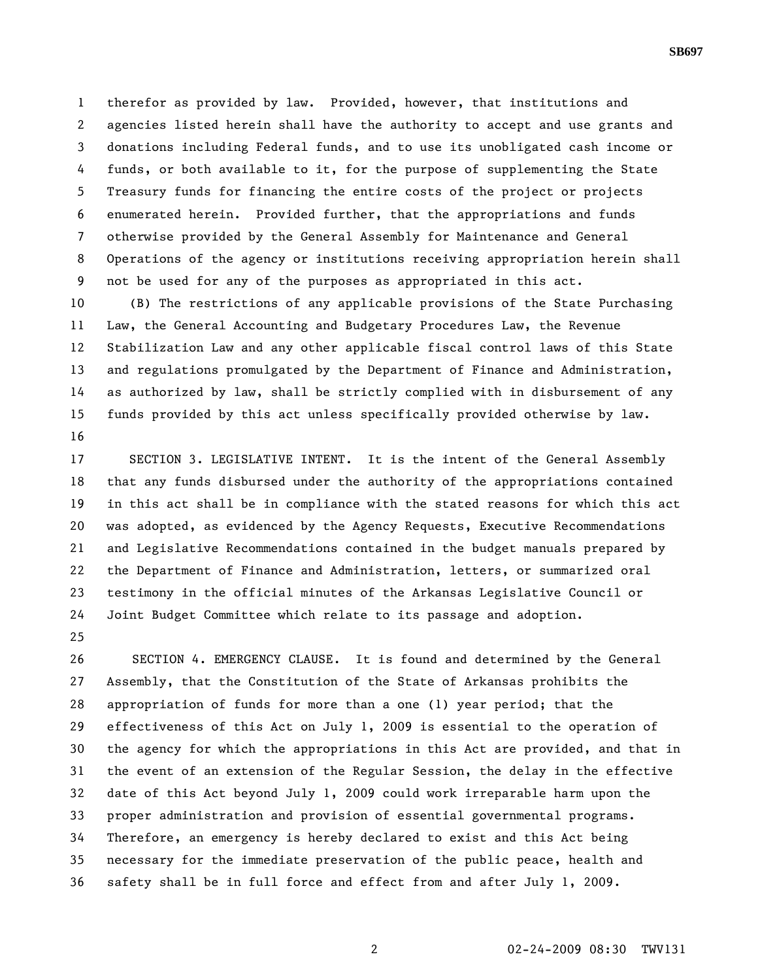1 therefor as provided by law. Provided, however, that institutions and 2 agencies listed herein shall have the authority to accept and use grants and 3 donations including Federal funds, and to use its unobligated cash income or 4 funds, or both available to it, for the purpose of supplementing the State 5 Treasury funds for financing the entire costs of the project or projects 6 enumerated herein. Provided further, that the appropriations and funds 7 otherwise provided by the General Assembly for Maintenance and General 8 Operations of the agency or institutions receiving appropriation herein shall 9 not be used for any of the purposes as appropriated in this act.

10 (B) The restrictions of any applicable provisions of the State Purchasing 11 Law, the General Accounting and Budgetary Procedures Law, the Revenue 12 Stabilization Law and any other applicable fiscal control laws of this State 13 and regulations promulgated by the Department of Finance and Administration, 14 as authorized by law, shall be strictly complied with in disbursement of any 15 funds provided by this act unless specifically provided otherwise by law. 16

17 SECTION 3. LEGISLATIVE INTENT. It is the intent of the General Assembly 18 that any funds disbursed under the authority of the appropriations contained 19 in this act shall be in compliance with the stated reasons for which this act 20 was adopted, as evidenced by the Agency Requests, Executive Recommendations 21 and Legislative Recommendations contained in the budget manuals prepared by 22 the Department of Finance and Administration, letters, or summarized oral 23 testimony in the official minutes of the Arkansas Legislative Council or 24 Joint Budget Committee which relate to its passage and adoption.

25

26 SECTION 4. EMERGENCY CLAUSE. It is found and determined by the General 27 Assembly, that the Constitution of the State of Arkansas prohibits the 28 appropriation of funds for more than a one (1) year period; that the 29 effectiveness of this Act on July 1, 2009 is essential to the operation of 30 the agency for which the appropriations in this Act are provided, and that in 31 the event of an extension of the Regular Session, the delay in the effective 32 date of this Act beyond July 1, 2009 could work irreparable harm upon the 33 proper administration and provision of essential governmental programs. 34 Therefore, an emergency is hereby declared to exist and this Act being 35 necessary for the immediate preservation of the public peace, health and 36 safety shall be in full force and effect from and after July 1, 2009.

**SB697**